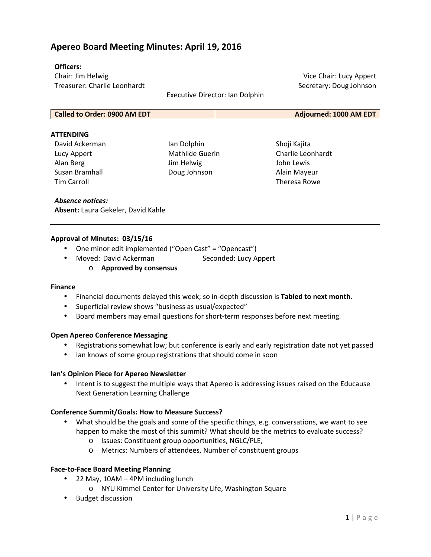## **Apereo Board Meeting Minutes: April 19, 2016**

### **Officers:**

Chair: Jim Helwig Treasurer: Charlie Leonhardt

Executive Director: Ian Dolphin

Vice Chair: Lucy Appert Secretary: Doug Johnson

**Called to Order: 0900 AM EDT Adjourned: 1000 AM EDT**

#### **ATTENDING**

David Ackerman Lucy Appert Alan Berg Susan Bramhall Tim Carroll

Ian Dolphin Mathilde Guerin Jim Helwig Doug Johnson

Shoji Kajita Charlie Leonhardt John Lewis Alain Mayeur Theresa Rowe

### *Absence notices:*

**Absent:** Laura Gekeler, David Kahle

### **Approval of Minutes: 03/15/16**

- One minor edit implemented ("Open Cast" = "Opencast")
- Moved: David Ackerman Seconded: Lucy Appert
	- o **Approved by consensus**

#### **Finance**

- Financial documents delayed this week; so in-depth discussion is **Tabled to next month**.
- Superficial review shows "business as usual/expected"
- Board members may email questions for short-term responses before next meeting.

#### **Open Apereo Conference Messaging**

- Registrations somewhat low; but conference is early and early registration date not yet passed
- lan knows of some group registrations that should come in soon

#### **Ian's Opinion Piece for Apereo Newsletter**

• Intent is to suggest the multiple ways that Apereo is addressing issues raised on the Educause Next Generation Learning Challenge

### **Conference Summit/Goals: How to Measure Success?**

- What should be the goals and some of the specific things, e.g. conversations, we want to see happen to make the most of this summit? What should be the metrics to evaluate success?
	- o Issues: Constituent group opportunities, NGLC/PLE,
	- o Metrics: Numbers of attendees, Number of constituent groups

### **Face-to-Face Board Meeting Planning**

- 22 May, 10AM 4PM including lunch
	- o NYU Kimmel Center for University Life, Washington Square
- Budget discussion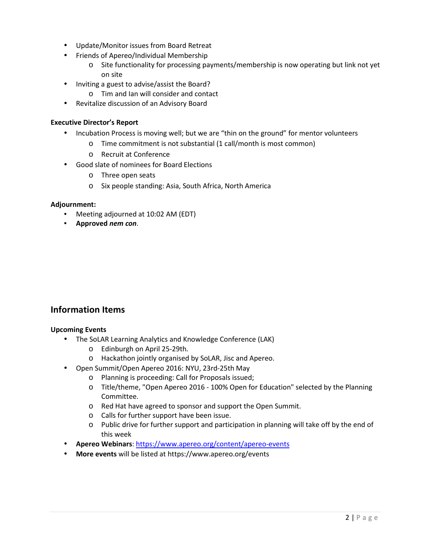- Update/Monitor issues from Board Retreat
- Friends of Apereo/Individual Membership
	- o Site functionality for processing payments/membership is now operating but link not yet on site
- Inviting a guest to advise/assist the Board?
	- o Tim and Ian will consider and contact
- Revitalize discussion of an Advisory Board

## **Executive Director's Report**

- Incubation Process is moving well; but we are "thin on the ground" for mentor volunteers
	- o Time commitment is not substantial (1 call/month is most common)
	- o Recruit at Conference
- Good slate of nominees for Board Elections
	- o Three open seats
	- o Six people standing: Asia, South Africa, North America

### **Adjournment:**

- Meeting adjourned at 10:02 AM (EDT)
- **Approved** *nem con*.

## **Information Items**

### **Upcoming Events**

- The SoLAR Learning Analytics and Knowledge Conference (LAK)
	- o Edinburgh on April 25-29th.
	- o Hackathon jointly organised by SoLAR, Jisc and Apereo.
- Open Summit/Open Apereo 2016: NYU, 23rd-25th May
	- o Planning is proceeding: Call for Proposals issued;
	- o Title/theme, "Open Apereo 2016 100% Open for Education" selected by the Planning Committee.
	- o Red Hat have agreed to sponsor and support the Open Summit.
	- o Calls for further support have been issue.
	- o Public drive for further support and participation in planning will take off by the end of this week
- **Apereo Webinars**: https://www.apereo.org/content/apereo-events
- **More events** will be listed at https://www.apereo.org/events